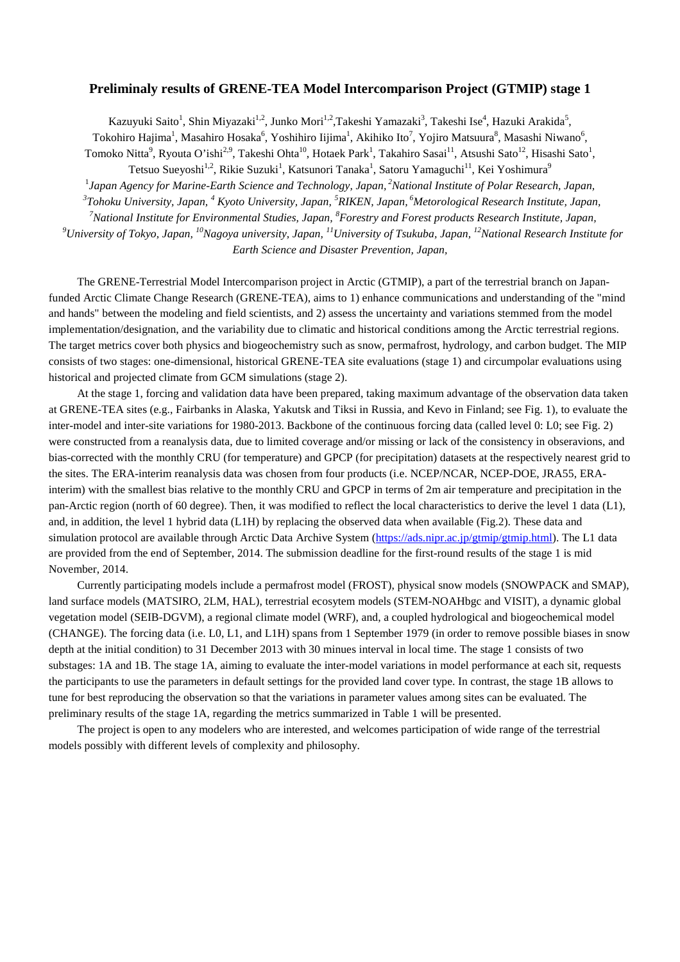## **Preliminaly results of GRENE-TEA Model Intercomparison Project (GTMIP) stage 1**

Kazuyuki Saito<sup>1</sup>, Shin Miyazaki<sup>1,2</sup>, Junko Mori<sup>1,2</sup>,Takeshi Yamazaki<sup>3</sup>, Takeshi Ise<sup>4</sup>, Hazuki Arakida<sup>5</sup>,

Tokohiro Hajima<sup>1</sup>, Masahiro Hosaka<sup>6</sup>, Yoshihiro Iijima<sup>1</sup>, Akihiko Ito<sup>7</sup>, Yojiro Matsuura<sup>8</sup>, Masashi Niwano<sup>6</sup>,

Tomoko Nitta<sup>9</sup>, Ryouta O'ishi<sup>2,9</sup>, Takeshi Ohta<sup>10</sup>, Hotaek Park<sup>1</sup>, Takahiro Sasai<sup>11</sup>, Atsushi Sato<sup>12</sup>, Hisashi Sato<sup>1</sup>,

Tetsuo Sueyoshi $^{1,2}$ , Rikie Suzuki $^1$ , Katsunori Tanaka $^1$ , Satoru Yamaguchi $^{11}$ , Kei Yoshimura $^9$ 

1 *Japan Agency for Marine-Earth Science and Technology, Japan, <sup>2</sup> National Institute of Polar Research, Japan,*

*3 Tohoku University, Japan, <sup>4</sup> Kyoto University, Japan, <sup>5</sup> RIKEN, Japan, 6 Metorological Research Institute, Japan,*

<sup>7</sup>National Institute for Environmental Studies, Japan,  ${}^{8}$ Forestry and Forest products Research Institute, Japan,

 $^9$ University of Tokyo, Japan, <sup>10</sup>Nagoya university, Japan, <sup>11</sup>University of Tsukuba, Japan, <sup>12</sup>National Research Institute for

*Earth Science and Disaster Prevention, Japan,*

The GRENE-Terrestrial Model Intercomparison project in Arctic (GTMIP), a part of the terrestrial branch on Japanfunded Arctic Climate Change Research (GRENE-TEA), aims to 1) enhance communications and understanding of the "mind and hands" between the modeling and field scientists, and 2) assess the uncertainty and variations stemmed from the model implementation/designation, and the variability due to climatic and historical conditions among the Arctic terrestrial regions. The target metrics cover both physics and biogeochemistry such as snow, permafrost, hydrology, and carbon budget. The MIP consists of two stages: one-dimensional, historical GRENE-TEA site evaluations (stage 1) and circumpolar evaluations using historical and projected climate from GCM simulations (stage 2).

At the stage 1, forcing and validation data have been prepared, taking maximum advantage of the observation data taken at GRENE-TEA sites (e.g., Fairbanks in Alaska, Yakutsk and Tiksi in Russia, and Kevo in Finland; see Fig. 1), to evaluate the inter-model and inter-site variations for 1980-2013. Backbone of the continuous forcing data (called level 0: L0; see Fig. 2) were constructed from a reanalysis data, due to limited coverage and/or missing or lack of the consistency in obseravions, and bias-corrected with the monthly CRU (for temperature) and GPCP (for precipitation) datasets at the respectively nearest grid to the sites. The ERA-interim reanalysis data was chosen from four products (i.e. NCEP/NCAR, NCEP-DOE, JRA55, ERAinterim) with the smallest bias relative to the monthly CRU and GPCP in terms of 2m air temperature and precipitation in the pan-Arctic region (north of 60 degree). Then, it was modified to reflect the local characteristics to derive the level 1 data (L1), and, in addition, the level 1 hybrid data (L1H) by replacing the observed data when available (Fig.2). These data and simulation protocol are available through Arctic Data Archive System [\(https://ads.nipr.ac.jp/gtmip/gtmip.html\)](https://ads.nipr.ac.jp/gtmip/gtmip.html). The L1 data are provided from the end of September, 2014. The submission deadline for the first-round results of the stage 1 is mid November, 2014.

Currently participating models include a permafrost model (FROST), physical snow models (SNOWPACK and SMAP), land surface models (MATSIRO, 2LM, HAL), terrestrial ecosytem models (STEM-NOAHbgc and VISIT), a dynamic global vegetation model (SEIB-DGVM), a regional climate model (WRF), and, a coupled hydrological and biogeochemical model (CHANGE). The forcing data (i.e. L0, L1, and L1H) spans from 1 September 1979 (in order to remove possible biases in snow depth at the initial condition) to 31 December 2013 with 30 minues interval in local time. The stage 1 consists of two substages: 1A and 1B. The stage 1A, aiming to evaluate the inter-model variations in model performance at each sit, requests the participants to use the parameters in default settings for the provided land cover type. In contrast, the stage 1B allows to tune for best reproducing the observation so that the variations in parameter values among sites can be evaluated. The preliminary results of the stage 1A, regarding the metrics summarized in Table 1 will be presented.

The project is open to any modelers who are interested, and welcomes participation of wide range of the terrestrial models possibly with different levels of complexity and philosophy.